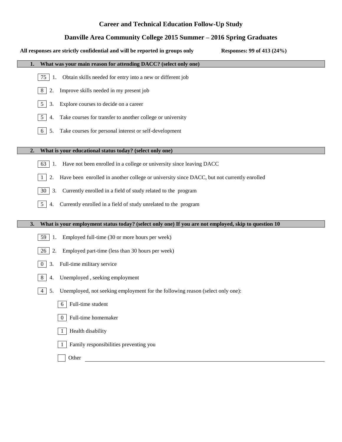# **Career and Technical Education Follow-Up Study**

## **Danville Area Community College 2015 Summer – 2016 Spring Graduates**

| Danville Area Community College 2015 Summer – 2016 Spring Graduates                                        |
|------------------------------------------------------------------------------------------------------------|
| All responses are strictly confidential and will be reported in groups only<br>Responses: 99 of 413 (24%)  |
| What was your main reason for attending DACC? (select only one)<br>1.                                      |
| Obtain skills needed for entry into a new or different job<br>75<br>1.                                     |
| Improve skills needed in my present job<br>8<br>2.                                                         |
| 5 <sup>5</sup><br>Explore courses to decide on a career<br>3.                                              |
| Take courses for transfer to another college or university<br>5 <sup>5</sup><br>4.                         |
| 6<br>Take courses for personal interest or self-development<br>5.                                          |
| What is your educational status today? (select only one)<br>2.                                             |
| Have not been enrolled in a college or university since leaving DACC<br>63<br>1.                           |
| Have been enrolled in another college or university since DACC, but not currently enrolled<br>2.<br>1      |
| Currently enrolled in a field of study related to the program<br>30<br>3.                                  |
| 5 <sup>5</sup><br>Currently enrolled in a field of study unrelated to the program<br>4.                    |
| What is your employment status today? (select only one) If you are not employed, skip to question 10<br>3. |
| Employed full-time (30 or more hours per week)<br>59<br>1.                                                 |
| 26<br>2.<br>Employed part-time (less than 30 hours per week)                                               |
| Full-time military service<br>$\overline{0}$<br>3.                                                         |
| 8<br>Unemployed, seeking employment<br>4.                                                                  |
| Unemployed, not seeking employment for the following reason (select only one):<br>$\overline{4}$<br>5.     |
| 6 Full-time student                                                                                        |
| Full-time homemaker<br>0 <sup>1</sup>                                                                      |
| Health disability<br>-1                                                                                    |
| Family responsibilities preventing you<br>1                                                                |
| Other<br><u> 1989 - Johann Barnett, fransk politiker (</u>                                                 |
|                                                                                                            |
|                                                                                                            |
|                                                                                                            |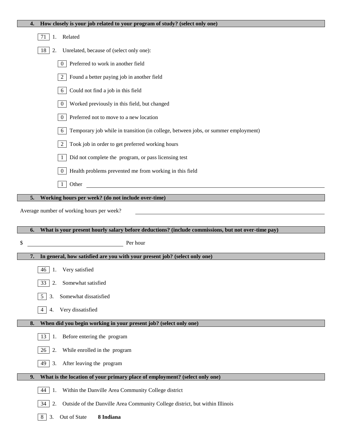| How closely is your job related to your program of study? (select only one)<br>4.                                                            |  |  |  |  |  |  |  |
|----------------------------------------------------------------------------------------------------------------------------------------------|--|--|--|--|--|--|--|
| 71<br>Related<br>1.                                                                                                                          |  |  |  |  |  |  |  |
| 18<br>Unrelated, because of (select only one):<br>2.                                                                                         |  |  |  |  |  |  |  |
| Preferred to work in another field<br>$\mathbf{0}$                                                                                           |  |  |  |  |  |  |  |
| Found a better paying job in another field<br>2                                                                                              |  |  |  |  |  |  |  |
| Could not find a job in this field<br>6                                                                                                      |  |  |  |  |  |  |  |
| Worked previously in this field, but changed<br>$\mathbf{0}$                                                                                 |  |  |  |  |  |  |  |
| Preferred not to move to a new location<br>$\mathbf{0}$                                                                                      |  |  |  |  |  |  |  |
| Temporary job while in transition (in college, between jobs, or summer employment)<br>6                                                      |  |  |  |  |  |  |  |
| Took job in order to get preferred working hours<br>2                                                                                        |  |  |  |  |  |  |  |
| Did not complete the program, or pass licensing test<br>1                                                                                    |  |  |  |  |  |  |  |
| Health problems prevented me from working in this field<br>$\overline{0}$                                                                    |  |  |  |  |  |  |  |
| <u> 1989 - Andrea Albert III, politik eta politik eta politik eta politik eta politik eta politik eta politik e</u><br>Other<br>$\mathbf{1}$ |  |  |  |  |  |  |  |
| Working hours per week? (do not include over-time)<br>5.                                                                                     |  |  |  |  |  |  |  |
| Average number of working hours per week?                                                                                                    |  |  |  |  |  |  |  |
|                                                                                                                                              |  |  |  |  |  |  |  |
|                                                                                                                                              |  |  |  |  |  |  |  |
| What is your present hourly salary before deductions? (include commissions, but not over-time pay)                                           |  |  |  |  |  |  |  |
| Per hour<br>\$                                                                                                                               |  |  |  |  |  |  |  |
| In general, how satisfied are you with your present job? (select only one)<br>7.                                                             |  |  |  |  |  |  |  |
| 46 1. Very satisfied                                                                                                                         |  |  |  |  |  |  |  |
| Somewhat satisfied<br>2.<br>33                                                                                                               |  |  |  |  |  |  |  |
| Somewhat dissatisfied<br>5<br>3.                                                                                                             |  |  |  |  |  |  |  |
| Very dissatisfied<br>$\overline{4}$<br>4.                                                                                                    |  |  |  |  |  |  |  |
| When did you begin working in your present job? (select only one)<br>8.                                                                      |  |  |  |  |  |  |  |
| 13<br>Before entering the program<br>1.                                                                                                      |  |  |  |  |  |  |  |
| While enrolled in the program<br>26<br>2.                                                                                                    |  |  |  |  |  |  |  |
| 49<br>After leaving the program<br>3.                                                                                                        |  |  |  |  |  |  |  |
| What is the location of your primary place of employment? (select only one)<br>9.                                                            |  |  |  |  |  |  |  |
| 44<br>Within the Danville Area Community College district<br>1.                                                                              |  |  |  |  |  |  |  |
| Outside of the Danville Area Community College district, but within Illinois<br>34<br>2.                                                     |  |  |  |  |  |  |  |